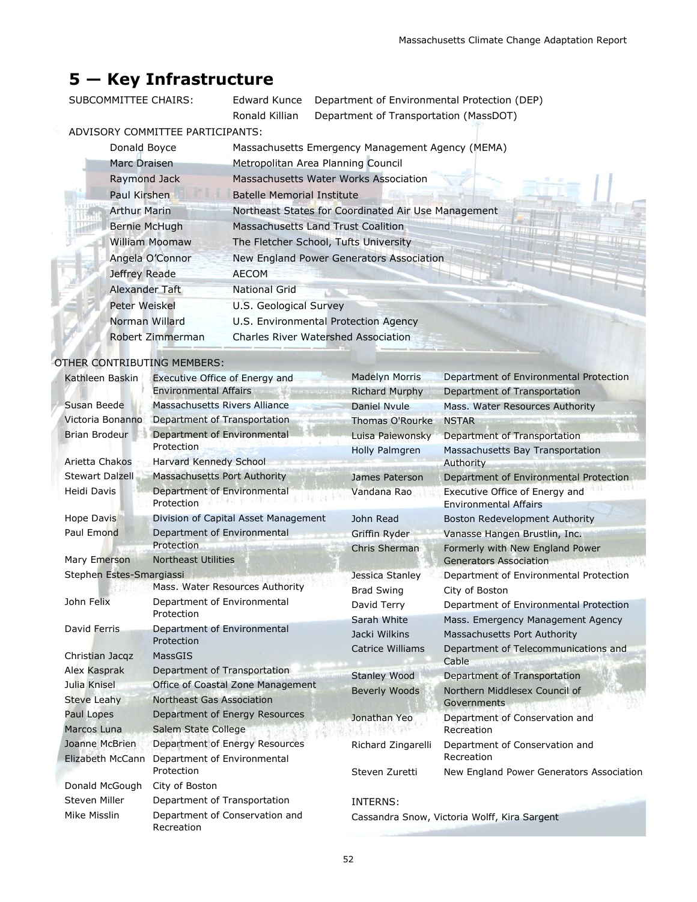# **5 — Key Infrastructure**

SUBCOMMITTEE CHAIRS: Edward Kunce Department of Environmental Protection (DEP) Ronald Killian Department of Transportation (MassDOT)

# ADVISORY COMMITTEE PARTICIPANTS:

| Donald Boyce          | Massachusetts Emergency Management Agency (MEMA)    |
|-----------------------|-----------------------------------------------------|
| Marc Draisen          | Metropolitan Area Planning Council                  |
| Raymond Jack          | Massachusetts Water Works Association               |
| Paul Kirshen          | Batelle Memorial Institute                          |
| <b>Arthur Marin</b>   | Northeast States for Coordinated Air Use Management |
| <b>Bernie McHugh</b>  | Massachusetts Land Trust Coalition                  |
| <b>William Moomaw</b> | The Fletcher School, Tufts University               |
| Angela O'Connor       | New England Power Generators Association            |
| Jeffrey Reade         | <b>AECOM</b>                                        |
| Alexander Taft        | National Grid                                       |
| Peter Weiskel         | U.S. Geological Survey                              |
| Norman Willard        | U.S. Environmental Protection Agency                |
| Robert Zimmerman      | <b>Charles River Watershed Association</b>          |
|                       |                                                     |

# OTHER CONTRIBUTING MEMBERS:

| Kathleen Baskin          | <b>Executive Office of Energy and</b>        | <b>Madelyn Morris</b>   | Department of Environmental Protection                         |
|--------------------------|----------------------------------------------|-------------------------|----------------------------------------------------------------|
|                          | <b>Environmental Affairs</b>                 | <b>Richard Murphy</b>   | Department of Transportation                                   |
| Susan Beede              | <b>Massachusetts Rivers Alliance</b>         | <b>Daniel Nyule</b>     | Mass. Water Resources Authority                                |
| Victoria Bonanno         | Department of Transportation                 | <b>Thomas O'Rourke</b>  | <b>NSTAR</b>                                                   |
| <b>Brian Brodeur</b>     | Department of Environmental                  | Luisa Paiewonsky        | Department of Transportation                                   |
|                          | Protection                                   | Holly Palmgren          | Massachusetts Bay Transportation                               |
| Arietta Chakos           | Harvard Kennedy School                       |                         | Authority                                                      |
| <b>Stewart Dalzell</b>   | Massachusetts Port Authority                 | James Paterson          | Department of Environmental Protection                         |
| <b>Heidi Davis</b>       | Department of Environmental<br>Protection    | Vandana Rao             | Executive Office of Energy and<br><b>Environmental Affairs</b> |
| <b>Hope Davis</b>        | Division of Capital Asset Management         | John Read               | Boston Redevelopment Authority                                 |
| Paul Emond               | Department of Environmental                  | Griffin Ryder           | Vanasse Hangen Brustlin, Inc.                                  |
|                          | Protection                                   | Chris Sherman           | Formerly with New England Power                                |
| Mary Emerson             | <b>Northeast Utilities</b>                   |                         | <b>Generators Association</b>                                  |
| Stephen Estes-Smargiassi |                                              | Jessica Stanley         | Department of Environmental Protection                         |
|                          | Mass. Water Resources Authority              | <b>Brad Swing</b>       | City of Boston                                                 |
| John Felix               | Department of Environmental                  | David Terry             | Department of Environmental Protection                         |
|                          | Protection                                   | Sarah White             | Mass. Emergency Management Agency                              |
| David Ferris             | Department of Environmental<br>Protection    | Jacki Wilkins           | Massachusetts Port Authority                                   |
| Christian Jacqz          | MassGIS                                      | <b>Catrice Williams</b> | Department of Telecommunications and                           |
| Alex Kasprak             | Department of Transportation                 |                         | Cable                                                          |
| Julia Knisel             | Office of Coastal Zone Management            | <b>Stanley Wood</b>     | Department of Transportation                                   |
| <b>Steve Leahy</b>       | Northeast Gas Association                    | <b>Beverly Woods</b>    | Northern Middlesex Council of<br>Governments                   |
| Paul Lopes               | Department of Energy Resources               | Jonathan Yeo            | Department of Conservation and                                 |
| Marcos Luna              | Salem State College                          |                         | Recreation                                                     |
| Joanne McBrien           | Department of Energy Resources               | Richard Zingarelli      | Department of Conservation and                                 |
| Elizabeth McCann         | Department of Environmental                  |                         | Recreation                                                     |
|                          | Protection                                   | Steven Zuretti          | New England Power Generators Association                       |
| Donald McGough           | City of Boston                               |                         |                                                                |
| <b>Steven Miller</b>     | Department of Transportation                 | INTERNS:                |                                                                |
| Mike Misslin             | Department of Conservation and<br>Recreation |                         | Cassandra Snow, Victoria Wolff, Kira Sargent                   |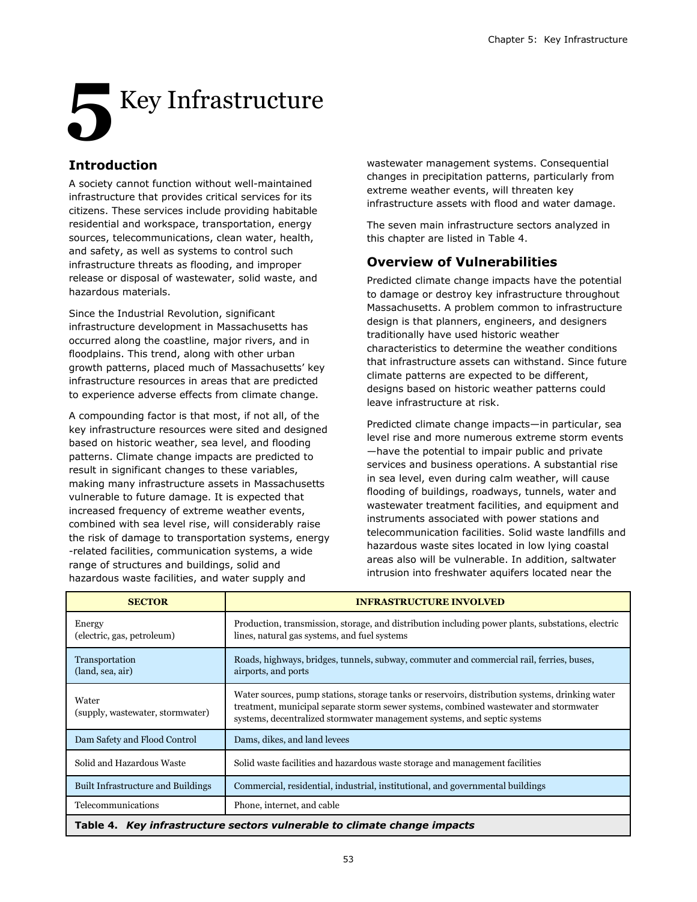# **5** Key Infrastructure

# **Introduction**

A society cannot function without well-maintained infrastructure that provides critical services for its citizens. These services include providing habitable residential and workspace, transportation, energy sources, telecommunications, clean water, health, and safety, as well as systems to control such infrastructure threats as flooding, and improper release or disposal of wastewater, solid waste, and hazardous materials.

Since the Industrial Revolution, significant infrastructure development in Massachusetts has occurred along the coastline, major rivers, and in floodplains. This trend, along with other urban growth patterns, placed much of Massachusetts' key infrastructure resources in areas that are predicted to experience adverse effects from climate change.

A compounding factor is that most, if not all, of the key infrastructure resources were sited and designed based on historic weather, sea level, and flooding patterns. Climate change impacts are predicted to result in significant changes to these variables, making many infrastructure assets in Massachusetts vulnerable to future damage. It is expected that increased frequency of extreme weather events, combined with sea level rise, will considerably raise the risk of damage to transportation systems, energy -related facilities, communication systems, a wide range of structures and buildings, solid and hazardous waste facilities, and water supply and

wastewater management systems. Consequential changes in precipitation patterns, particularly from extreme weather events, will threaten key infrastructure assets with flood and water damage.

The seven main infrastructure sectors analyzed in this chapter are listed in Table 4.

# **Overview of Vulnerabilities**

Predicted climate change impacts have the potential to damage or destroy key infrastructure throughout Massachusetts. A problem common to infrastructure design is that planners, engineers, and designers traditionally have used historic weather characteristics to determine the weather conditions that infrastructure assets can withstand. Since future climate patterns are expected to be different, designs based on historic weather patterns could leave infrastructure at risk.

Predicted climate change impacts—in particular, sea level rise and more numerous extreme storm events —have the potential to impair public and private services and business operations. A substantial rise in sea level, even during calm weather, will cause flooding of buildings, roadways, tunnels, water and wastewater treatment facilities, and equipment and instruments associated with power stations and telecommunication facilities. Solid waste landfills and hazardous waste sites located in low lying coastal areas also will be vulnerable. In addition, saltwater intrusion into freshwater aquifers located near the

| <b>SECTOR</b>                                                            | <b>INFRASTRUCTURE INVOLVED</b>                                                                                                                                                                                                                                       |  |  |  |
|--------------------------------------------------------------------------|----------------------------------------------------------------------------------------------------------------------------------------------------------------------------------------------------------------------------------------------------------------------|--|--|--|
| Energy<br>(electric, gas, petroleum)                                     | Production, transmission, storage, and distribution including power plants, substations, electric<br>lines, natural gas systems, and fuel systems                                                                                                                    |  |  |  |
| Transportation<br>(land, sea, air)                                       | Roads, highways, bridges, tunnels, subway, commuter and commercial rail, ferries, buses,<br>airports, and ports                                                                                                                                                      |  |  |  |
| Water<br>(supply, wastewater, stormwater)                                | Water sources, pump stations, storage tanks or reservoirs, distribution systems, drinking water<br>treatment, municipal separate storm sewer systems, combined wastewater and stormwater<br>systems, decentralized stormwater management systems, and septic systems |  |  |  |
| Dam Safety and Flood Control                                             | Dams, dikes, and land levees                                                                                                                                                                                                                                         |  |  |  |
| Solid and Hazardous Waste                                                | Solid waste facilities and hazardous waste storage and management facilities                                                                                                                                                                                         |  |  |  |
| Built Infrastructure and Buildings                                       | Commercial, residential, industrial, institutional, and governmental buildings                                                                                                                                                                                       |  |  |  |
| Telecommunications                                                       | Phone, internet, and cable                                                                                                                                                                                                                                           |  |  |  |
| Table 4. Key infrastructure sectors vulnerable to climate change impacts |                                                                                                                                                                                                                                                                      |  |  |  |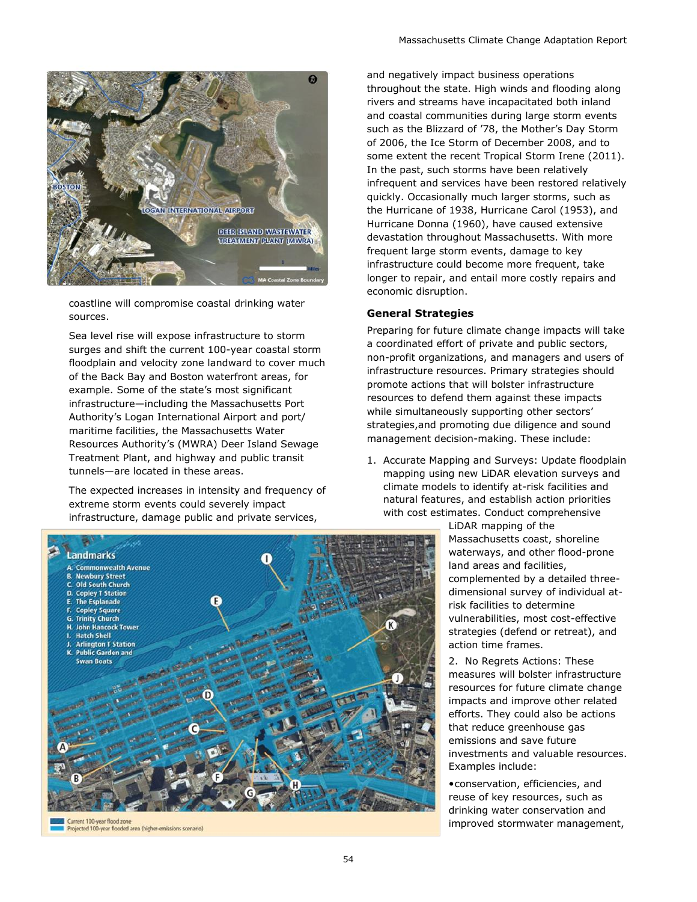

coastline will compromise coastal drinking water sources.

Sea level rise will expose infrastructure to storm surges and shift the current 100-year coastal storm floodplain and velocity zone landward to cover much of the Back Bay and Boston waterfront areas, for example. Some of the state's most significant infrastructure—including the Massachusetts Port Authority's Logan International Airport and port/ maritime facilities, the Massachusetts Water Resources Authority's (MWRA) Deer Island Sewage Treatment Plant, and highway and public transit tunnels—are located in these areas.

The expected increases in intensity and frequency of extreme storm events could severely impact infrastructure, damage public and private services,

and negatively impact business operations throughout the state. High winds and flooding along rivers and streams have incapacitated both inland and coastal communities during large storm events such as the Blizzard of '78, the Mother's Day Storm of 2006, the Ice Storm of December 2008, and to some extent the recent Tropical Storm Irene (2011). In the past, such storms have been relatively infrequent and services have been restored relatively quickly. Occasionally much larger storms, such as the Hurricane of 1938, Hurricane Carol (1953), and Hurricane Donna (1960), have caused extensive devastation throughout Massachusetts. With more frequent large storm events, damage to key infrastructure could become more frequent, take longer to repair, and entail more costly repairs and economic disruption.

#### **General Strategies**

Preparing for future climate change impacts will take a coordinated effort of private and public sectors, non-profit organizations, and managers and users of infrastructure resources. Primary strategies should promote actions that will bolster infrastructure resources to defend them against these impacts while simultaneously supporting other sectors' strategies,and promoting due diligence and sound management decision-making. These include:

1. Accurate Mapping and Surveys: Update floodplain mapping using new LiDAR elevation surveys and climate models to identify at-risk facilities and natural features, and establish action priorities with cost estimates. Conduct comprehensive

> LiDAR mapping of the Massachusetts coast, shoreline waterways, and other flood-prone land areas and facilities, complemented by a detailed threedimensional survey of individual atrisk facilities to determine vulnerabilities, most cost-effective strategies (defend or retreat), and action time frames.

2. No Regrets Actions: These measures will bolster infrastructure resources for future climate change impacts and improve other related efforts. They could also be actions that reduce greenhouse gas emissions and save future investments and valuable resources. Examples include:

•conservation, efficiencies, and reuse of key resources, such as drinking water conservation and improved stormwater management,



Projected 100-year flooded area (higher-emissions scenario)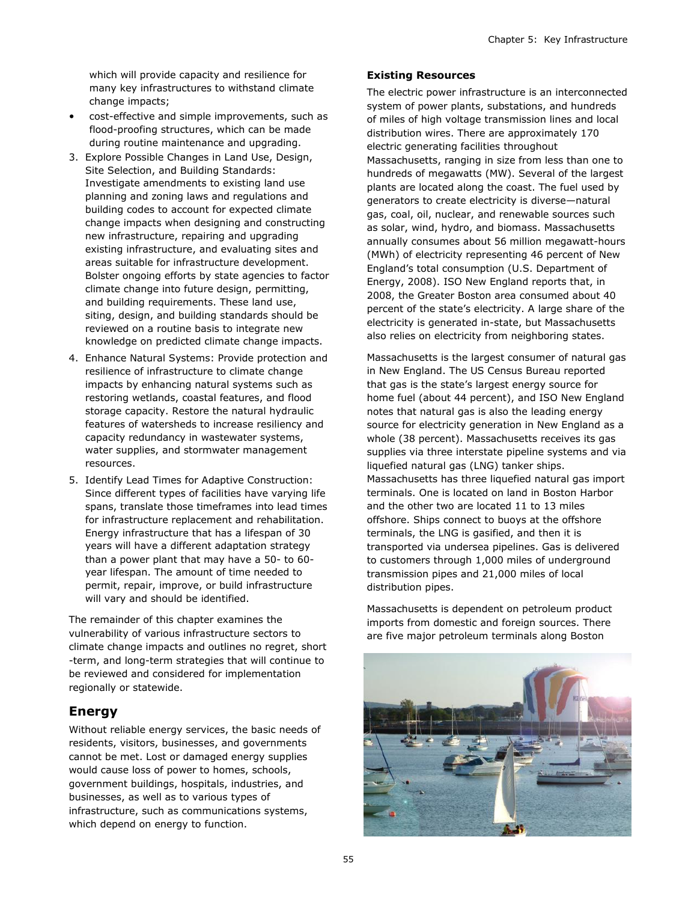which will provide capacity and resilience for many key infrastructures to withstand climate change impacts;

- cost-effective and simple improvements, such as flood-proofing structures, which can be made during routine maintenance and upgrading.
- 3. Explore Possible Changes in Land Use, Design, Site Selection, and Building Standards: Investigate amendments to existing land use planning and zoning laws and regulations and building codes to account for expected climate change impacts when designing and constructing new infrastructure, repairing and upgrading existing infrastructure, and evaluating sites and areas suitable for infrastructure development. Bolster ongoing efforts by state agencies to factor climate change into future design, permitting, and building requirements. These land use, siting, design, and building standards should be reviewed on a routine basis to integrate new knowledge on predicted climate change impacts.
- 4. Enhance Natural Systems: Provide protection and resilience of infrastructure to climate change impacts by enhancing natural systems such as restoring wetlands, coastal features, and flood storage capacity. Restore the natural hydraulic features of watersheds to increase resiliency and capacity redundancy in wastewater systems, water supplies, and stormwater management resources.
- 5. Identify Lead Times for Adaptive Construction: Since different types of facilities have varying life spans, translate those timeframes into lead times for infrastructure replacement and rehabilitation. Energy infrastructure that has a lifespan of 30 years will have a different adaptation strategy than a power plant that may have a 50- to 60 year lifespan. The amount of time needed to permit, repair, improve, or build infrastructure will vary and should be identified.

The remainder of this chapter examines the vulnerability of various infrastructure sectors to climate change impacts and outlines no regret, short -term, and long-term strategies that will continue to be reviewed and considered for implementation regionally or statewide.

# **Energy**

Without reliable energy services, the basic needs of residents, visitors, businesses, and governments cannot be met. Lost or damaged energy supplies would cause loss of power to homes, schools, government buildings, hospitals, industries, and businesses, as well as to various types of infrastructure, such as communications systems, which depend on energy to function.

## **Existing Resources**

The electric power infrastructure is an interconnected system of power plants, substations, and hundreds of miles of high voltage transmission lines and local distribution wires. There are approximately 170 electric generating facilities throughout Massachusetts, ranging in size from less than one to hundreds of megawatts (MW). Several of the largest plants are located along the coast. The fuel used by generators to create electricity is diverse—natural gas, coal, oil, nuclear, and renewable sources such as solar, wind, hydro, and biomass. Massachusetts annually consumes about 56 million megawatt-hours (MWh) of electricity representing 46 percent of New England's total consumption (U.S. Department of Energy, 2008). ISO New England reports that, in 2008, the Greater Boston area consumed about 40 percent of the state's electricity. A large share of the electricity is generated in-state, but Massachusetts also relies on electricity from neighboring states.

Massachusetts is the largest consumer of natural gas in New England. The US Census Bureau reported that gas is the state's largest energy source for home fuel (about 44 percent), and ISO New England notes that natural gas is also the leading energy source for electricity generation in New England as a whole (38 percent). Massachusetts receives its gas supplies via three interstate pipeline systems and via liquefied natural gas (LNG) tanker ships. Massachusetts has three liquefied natural gas import terminals. One is located on land in Boston Harbor and the other two are located 11 to 13 miles offshore. Ships connect to buoys at the offshore terminals, the LNG is gasified, and then it is transported via undersea pipelines. Gas is delivered to customers through 1,000 miles of underground transmission pipes and 21,000 miles of local distribution pipes.

Massachusetts is dependent on petroleum product imports from domestic and foreign sources. There are five major petroleum terminals along Boston

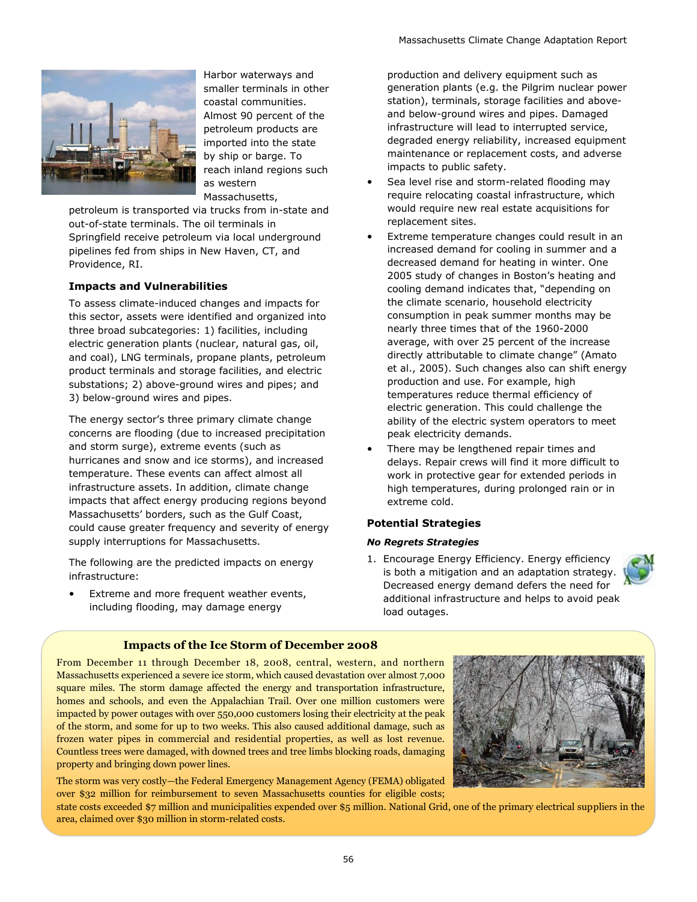

Harbor waterways and smaller terminals in other coastal communities. Almost 90 percent of the petroleum products are imported into the state by ship or barge. To reach inland regions such as western Massachusetts,

petroleum is transported via trucks from in-state and out-of-state terminals. The oil terminals in Springfield receive petroleum via local underground pipelines fed from ships in New Haven, CT, and Providence, RI.

#### **Impacts and Vulnerabilities**

To assess climate-induced changes and impacts for this sector, assets were identified and organized into three broad subcategories: 1) facilities, including electric generation plants (nuclear, natural gas, oil, and coal), LNG terminals, propane plants, petroleum product terminals and storage facilities, and electric substations; 2) above-ground wires and pipes; and 3) below-ground wires and pipes.

The energy sector's three primary climate change concerns are flooding (due to increased precipitation and storm surge), extreme events (such as hurricanes and snow and ice storms), and increased temperature. These events can affect almost all infrastructure assets. In addition, climate change impacts that affect energy producing regions beyond Massachusetts' borders, such as the Gulf Coast, could cause greater frequency and severity of energy supply interruptions for Massachusetts.

The following are the predicted impacts on energy infrastructure:

• Extreme and more frequent weather events, including flooding, may damage energy

production and delivery equipment such as generation plants (e.g. the Pilgrim nuclear power station), terminals, storage facilities and aboveand below-ground wires and pipes. Damaged infrastructure will lead to interrupted service, degraded energy reliability, increased equipment maintenance or replacement costs, and adverse impacts to public safety.

- Sea level rise and storm-related flooding may require relocating coastal infrastructure, which would require new real estate acquisitions for replacement sites.
- Extreme temperature changes could result in an increased demand for cooling in summer and a decreased demand for heating in winter. One 2005 study of changes in Boston's heating and cooling demand indicates that, "depending on the climate scenario, household electricity consumption in peak summer months may be nearly three times that of the 1960-2000 average, with over 25 percent of the increase directly attributable to climate change" (Amato et al., 2005). Such changes also can shift energy production and use. For example, high temperatures reduce thermal efficiency of electric generation. This could challenge the ability of the electric system operators to meet peak electricity demands.
- There may be lengthened repair times and delays. Repair crews will find it more difficult to work in protective gear for extended periods in high temperatures, during prolonged rain or in extreme cold.

#### **Potential Strategies**

#### *No Regrets Strategies*

1. Encourage Energy Efficiency. Energy efficiency is both a mitigation and an adaptation strategy. Decreased energy demand defers the need for additional infrastructure and helps to avoid peak load outages.



#### **Impacts of the Ice Storm of December 2008**

From December 11 through December 18, 2008, central, western, and northern Massachusetts experienced a severe ice storm, which caused devastation over almost 7,000 square miles. The storm damage affected the energy and transportation infrastructure, homes and schools, and even the Appalachian Trail. Over one million customers were impacted by power outages with over 550,000 customers losing their electricity at the peak of the storm, and some for up to two weeks. This also caused additional damage, such as frozen water pipes in commercial and residential properties, as well as lost revenue. Countless trees were damaged, with downed trees and tree limbs blocking roads, damaging property and bringing down power lines.

The storm was very costly—the Federal Emergency Management Agency (FEMA) obligated over \$32 million for reimbursement to seven Massachusetts counties for eligible costs;



state costs exceeded \$7 million and municipalities expended over \$5 million. National Grid, one of the primary electrical suppliers in the area, claimed over \$30 million in storm-related costs.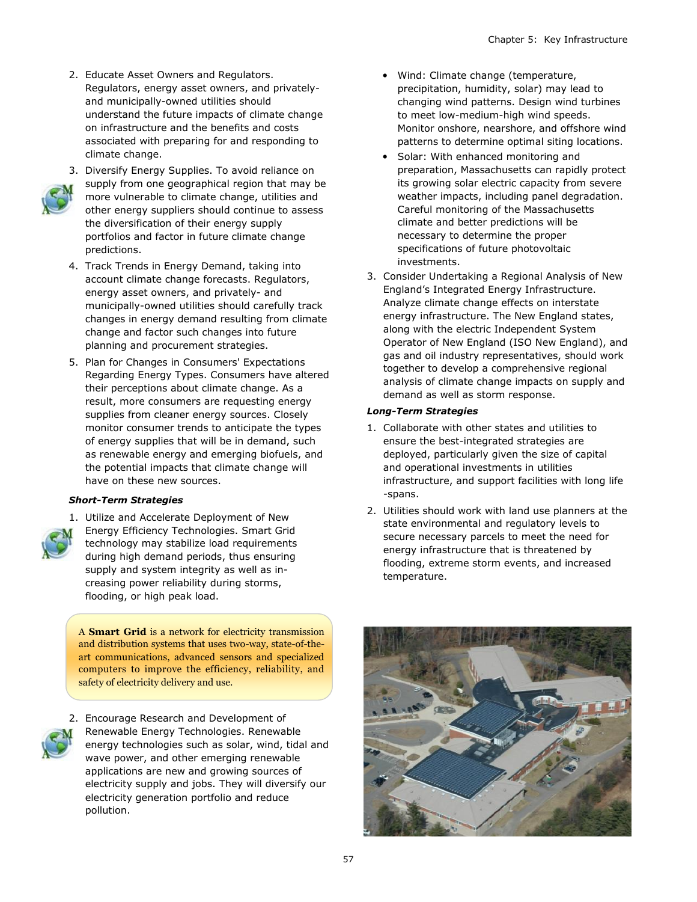2. Educate Asset Owners and Regulators. Regulators, energy asset owners, and privatelyand municipally-owned utilities should understand the future impacts of climate change on infrastructure and the benefits and costs associated with preparing for and responding to climate change.



- 3. Diversify Energy Supplies. To avoid reliance on supply from one geographical region that may be more vulnerable to climate change, utilities and other energy suppliers should continue to assess the diversification of their energy supply portfolios and factor in future climate change predictions.
- 4. Track Trends in Energy Demand, taking into account climate change forecasts. Regulators, energy asset owners, and privately- and municipally-owned utilities should carefully track changes in energy demand resulting from climate change and factor such changes into future planning and procurement strategies.
- 5. Plan for Changes in Consumers' Expectations Regarding Energy Types. Consumers have altered their perceptions about climate change. As a result, more consumers are requesting energy supplies from cleaner energy sources. Closely monitor consumer trends to anticipate the types of energy supplies that will be in demand, such as renewable energy and emerging biofuels, and the potential impacts that climate change will have on these new sources.

#### *Short-Term Strategies*



1. Utilize and Accelerate Deployment of New Energy Efficiency Technologies. Smart Grid technology may stabilize load requirements during high demand periods, thus ensuring supply and system integrity as well as increasing power reliability during storms, flooding, or high peak load.

A **Smart Grid** is a network for electricity transmission and distribution systems that uses two-way, state-of-theart communications, advanced sensors and specialized computers to improve the efficiency, reliability, and safety of electricity delivery and use.



2. Encourage Research and Development of Renewable Energy Technologies. Renewable energy technologies such as solar, wind, tidal and wave power, and other emerging renewable applications are new and growing sources of electricity supply and jobs. They will diversify our electricity generation portfolio and reduce pollution.

- Wind: Climate change (temperature, precipitation, humidity, solar) may lead to changing wind patterns. Design wind turbines to meet low-medium-high wind speeds. Monitor onshore, nearshore, and offshore wind patterns to determine optimal siting locations.
- Solar: With enhanced monitoring and preparation, Massachusetts can rapidly protect its growing solar electric capacity from severe weather impacts, including panel degradation. Careful monitoring of the Massachusetts climate and better predictions will be necessary to determine the proper specifications of future photovoltaic investments.
- 3. Consider Undertaking a Regional Analysis of New England's Integrated Energy Infrastructure. Analyze climate change effects on interstate energy infrastructure. The New England states, along with the electric Independent System Operator of New England (ISO New England), and gas and oil industry representatives, should work together to develop a comprehensive regional analysis of climate change impacts on supply and demand as well as storm response.

#### *Long-Term Strategies*

- 1. Collaborate with other states and utilities to ensure the best-integrated strategies are deployed, particularly given the size of capital and operational investments in utilities infrastructure, and support facilities with long life -spans.
- 2. Utilities should work with land use planners at the state environmental and regulatory levels to secure necessary parcels to meet the need for energy infrastructure that is threatened by flooding, extreme storm events, and increased temperature.

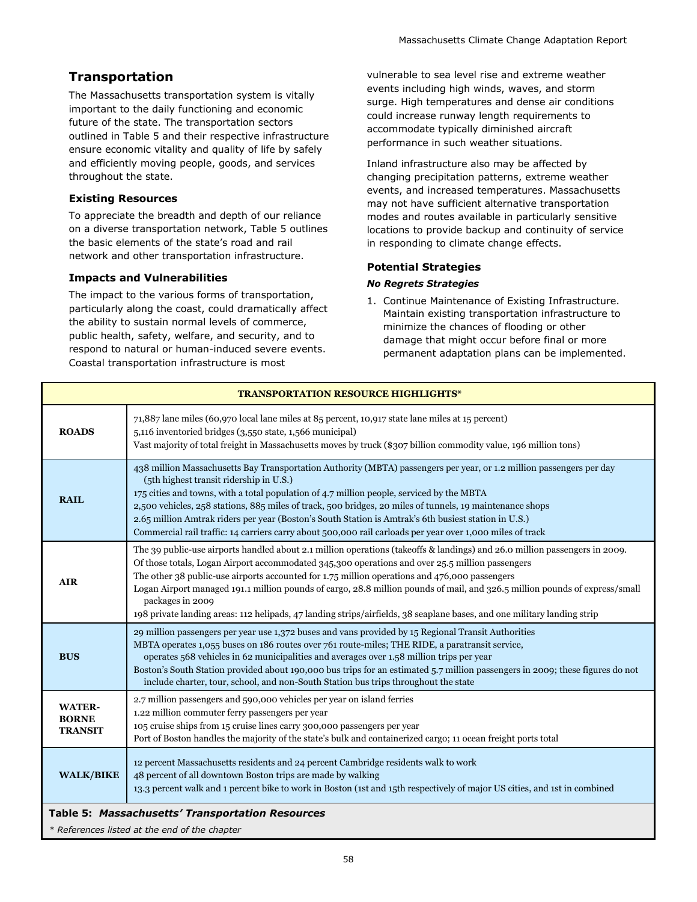# **Transportation**

The Massachusetts transportation system is vitally important to the daily functioning and economic future of the state. The transportation sectors outlined in Table 5 and their respective infrastructure ensure economic vitality and quality of life by safely and efficiently moving people, goods, and services throughout the state.

## **Existing Resources**

To appreciate the breadth and depth of our reliance on a diverse transportation network, Table 5 outlines the basic elements of the state's road and rail network and other transportation infrastructure.

## **Impacts and Vulnerabilities**

The impact to the various forms of transportation, particularly along the coast, could dramatically affect the ability to sustain normal levels of commerce, public health, safety, welfare, and security, and to respond to natural or human-induced severe events. Coastal transportation infrastructure is most

vulnerable to sea level rise and extreme weather events including high winds, waves, and storm surge. High temperatures and dense air conditions could increase runway length requirements to accommodate typically diminished aircraft performance in such weather situations.

Inland infrastructure also may be affected by changing precipitation patterns, extreme weather events, and increased temperatures. Massachusetts may not have sufficient alternative transportation modes and routes available in particularly sensitive locations to provide backup and continuity of service in responding to climate change effects.

#### **Potential Strategies**

#### *No Regrets Strategies*

1. Continue Maintenance of Existing Infrastructure. Maintain existing transportation infrastructure to minimize the chances of flooding or other damage that might occur before final or more permanent adaptation plans can be implemented.

| <b>TRANSPORTATION RESOURCE HIGHLIGHTS*</b>       |                                                                                                                                                                                                                                                                                                                                                                                                                                                                                                                                                                                                              |  |  |  |
|--------------------------------------------------|--------------------------------------------------------------------------------------------------------------------------------------------------------------------------------------------------------------------------------------------------------------------------------------------------------------------------------------------------------------------------------------------------------------------------------------------------------------------------------------------------------------------------------------------------------------------------------------------------------------|--|--|--|
| <b>ROADS</b>                                     | 71,887 lane miles (60,970 local lane miles at 85 percent, 10,917 state lane miles at 15 percent)<br>5,116 inventoried bridges (3,550 state, 1,566 municipal)<br>Vast majority of total freight in Massachusetts moves by truck (\$307 billion commodity value, 196 million tons)                                                                                                                                                                                                                                                                                                                             |  |  |  |
| <b>RAIL</b>                                      | 438 million Massachusetts Bay Transportation Authority (MBTA) passengers per year, or 1.2 million passengers per day<br>(5th highest transit ridership in U.S.)<br>175 cities and towns, with a total population of 4.7 million people, serviced by the MBTA<br>2,500 vehicles, 258 stations, 885 miles of track, 500 bridges, 20 miles of tunnels, 19 maintenance shops<br>2.65 million Amtrak riders per year (Boston's South Station is Amtrak's 6th busiest station in U.S.)<br>Commercial rail traffic: 14 carriers carry about 500,000 rail carloads per year over 1,000 miles of track                |  |  |  |
| <b>AIR</b>                                       | The 39 public-use airports handled about 2.1 million operations (takeoffs & landings) and 26.0 million passengers in 2009.<br>Of those totals, Logan Airport accommodated 345,300 operations and over 25.5 million passengers<br>The other 38 public-use airports accounted for 1.75 million operations and 476,000 passengers<br>Logan Airport managed 191.1 million pounds of cargo, 28.8 million pounds of mail, and 326.5 million pounds of express/small<br>packages in 2009<br>198 private landing areas: 112 helipads, 47 landing strips/airfields, 38 seaplane bases, and one military landing strip |  |  |  |
| <b>BUS</b>                                       | 29 million passengers per year use 1,372 buses and vans provided by 15 Regional Transit Authorities<br>MBTA operates 1,055 buses on 186 routes over 761 route-miles; THE RIDE, a paratransit service,<br>operates 568 vehicles in 62 municipalities and averages over 1.58 million trips per year<br>Boston's South Station provided about 190,000 bus trips for an estimated 5.7 million passengers in 2009; these figures do not<br>include charter, tour, school, and non-South Station bus trips throughout the state                                                                                    |  |  |  |
| <b>WATER-</b><br><b>BORNE</b><br><b>TRANSIT</b>  | 2.7 million passengers and 590,000 vehicles per year on island ferries<br>1.22 million commuter ferry passengers per year<br>105 cruise ships from 15 cruise lines carry 300,000 passengers per year<br>Port of Boston handles the majority of the state's bulk and containerized cargo; 11 ocean freight ports total                                                                                                                                                                                                                                                                                        |  |  |  |
| <b>WALK/BIKE</b>                                 | 12 percent Massachusetts residents and 24 percent Cambridge residents walk to work<br>48 percent of all downtown Boston trips are made by walking<br>13.3 percent walk and 1 percent bike to work in Boston (1st and 15th respectively of major US cities, and 1st in combined                                                                                                                                                                                                                                                                                                                               |  |  |  |
| Table 5: Massachusetts' Transportation Resources |                                                                                                                                                                                                                                                                                                                                                                                                                                                                                                                                                                                                              |  |  |  |

*\* References listed at the end of the chapter*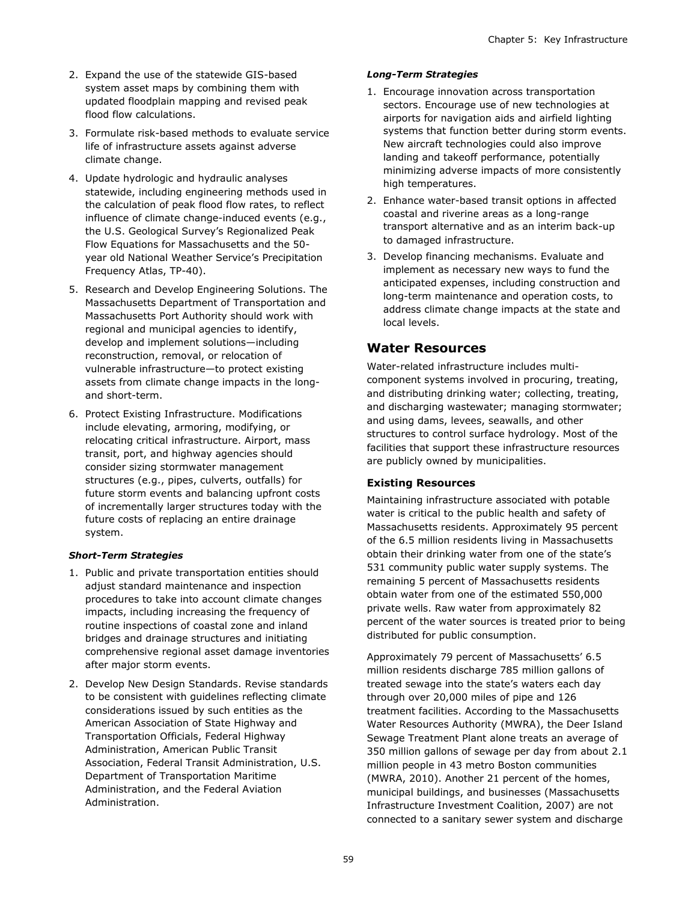- 2. Expand the use of the statewide GIS-based system asset maps by combining them with updated floodplain mapping and revised peak flood flow calculations.
- 3. Formulate risk-based methods to evaluate service life of infrastructure assets against adverse climate change.
- 4. Update hydrologic and hydraulic analyses statewide, including engineering methods used in the calculation of peak flood flow rates, to reflect influence of climate change-induced events (e.g., the U.S. Geological Survey's Regionalized Peak Flow Equations for Massachusetts and the 50 year old National Weather Service's Precipitation Frequency Atlas, TP-40).
- 5. Research and Develop Engineering Solutions. The Massachusetts Department of Transportation and Massachusetts Port Authority should work with regional and municipal agencies to identify, develop and implement solutions—including reconstruction, removal, or relocation of vulnerable infrastructure—to protect existing assets from climate change impacts in the longand short-term.
- 6. Protect Existing Infrastructure. Modifications include elevating, armoring, modifying, or relocating critical infrastructure. Airport, mass transit, port, and highway agencies should consider sizing stormwater management structures (e.g., pipes, culverts, outfalls) for future storm events and balancing upfront costs of incrementally larger structures today with the future costs of replacing an entire drainage system.

#### *Short-Term Strategies*

- 1. Public and private transportation entities should adjust standard maintenance and inspection procedures to take into account climate changes impacts, including increasing the frequency of routine inspections of coastal zone and inland bridges and drainage structures and initiating comprehensive regional asset damage inventories after major storm events.
- 2. Develop New Design Standards. Revise standards to be consistent with guidelines reflecting climate considerations issued by such entities as the American Association of State Highway and Transportation Officials, Federal Highway Administration, American Public Transit Association, Federal Transit Administration, U.S. Department of Transportation Maritime Administration, and the Federal Aviation Administration.

#### *Long-Term Strategies*

- 1. Encourage innovation across transportation sectors. Encourage use of new technologies at airports for navigation aids and airfield lighting systems that function better during storm events. New aircraft technologies could also improve landing and takeoff performance, potentially minimizing adverse impacts of more consistently high temperatures.
- 2. Enhance water-based transit options in affected coastal and riverine areas as a long-range transport alternative and as an interim back-up to damaged infrastructure.
- 3. Develop financing mechanisms. Evaluate and implement as necessary new ways to fund the anticipated expenses, including construction and long-term maintenance and operation costs, to address climate change impacts at the state and local levels.

# **Water Resources**

Water-related infrastructure includes multicomponent systems involved in procuring, treating, and distributing drinking water; collecting, treating, and discharging wastewater; managing stormwater; and using dams, levees, seawalls, and other structures to control surface hydrology. Most of the facilities that support these infrastructure resources are publicly owned by municipalities.

# **Existing Resources**

Maintaining infrastructure associated with potable water is critical to the public health and safety of Massachusetts residents. Approximately 95 percent of the 6.5 million residents living in Massachusetts obtain their drinking water from one of the state's 531 community public water supply systems. The remaining 5 percent of Massachusetts residents obtain water from one of the estimated 550,000 private wells. Raw water from approximately 82 percent of the water sources is treated prior to being distributed for public consumption.

Approximately 79 percent of Massachusetts' 6.5 million residents discharge 785 million gallons of treated sewage into the state's waters each day through over 20,000 miles of pipe and 126 treatment facilities. According to the Massachusetts Water Resources Authority (MWRA), the Deer Island Sewage Treatment Plant alone treats an average of 350 million gallons of sewage per day from about 2.1 million people in 43 metro Boston communities (MWRA, 2010). Another 21 percent of the homes, municipal buildings, and businesses (Massachusetts Infrastructure Investment Coalition, 2007) are not connected to a sanitary sewer system and discharge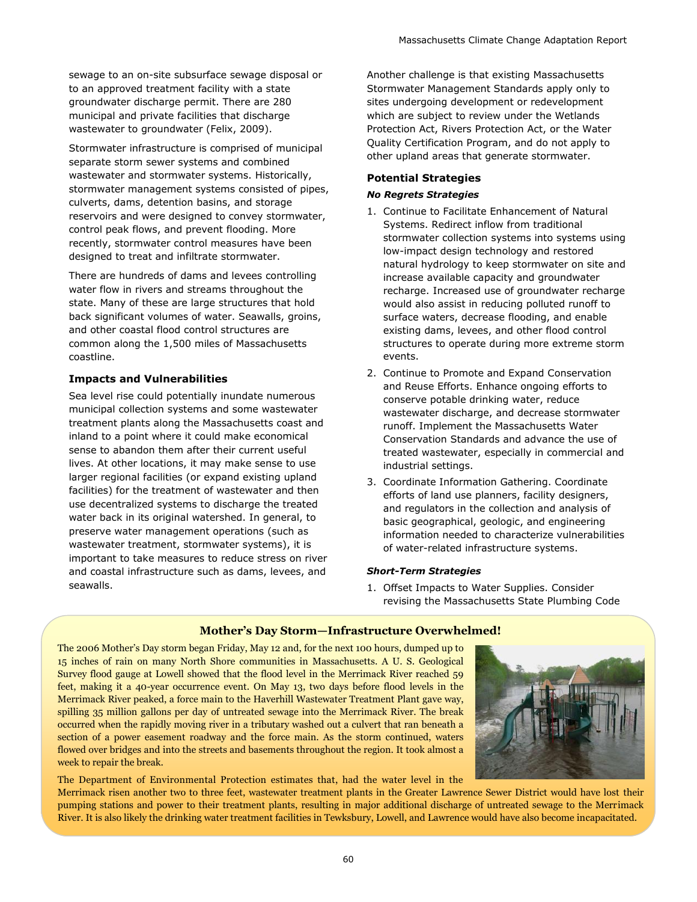sewage to an on-site subsurface sewage disposal or to an approved treatment facility with a state groundwater discharge permit. There are 280 municipal and private facilities that discharge wastewater to groundwater (Felix, 2009).

Stormwater infrastructure is comprised of municipal separate storm sewer systems and combined wastewater and stormwater systems. Historically, stormwater management systems consisted of pipes, culverts, dams, detention basins, and storage reservoirs and were designed to convey stormwater, control peak flows, and prevent flooding. More recently, stormwater control measures have been designed to treat and infiltrate stormwater.

There are hundreds of dams and levees controlling water flow in rivers and streams throughout the state. Many of these are large structures that hold back significant volumes of water. Seawalls, groins, and other coastal flood control structures are common along the 1,500 miles of Massachusetts coastline.

#### **Impacts and Vulnerabilities**

Sea level rise could potentially inundate numerous municipal collection systems and some wastewater treatment plants along the Massachusetts coast and inland to a point where it could make economical sense to abandon them after their current useful lives. At other locations, it may make sense to use larger regional facilities (or expand existing upland facilities) for the treatment of wastewater and then use decentralized systems to discharge the treated water back in its original watershed. In general, to preserve water management operations (such as wastewater treatment, stormwater systems), it is important to take measures to reduce stress on river and coastal infrastructure such as dams, levees, and seawalls.

Another challenge is that existing Massachusetts Stormwater Management Standards apply only to sites undergoing development or redevelopment which are subject to review under the Wetlands Protection Act, Rivers Protection Act, or the Water Quality Certification Program, and do not apply to other upland areas that generate stormwater.

#### **Potential Strategies**

#### *No Regrets Strategies*

- 1. Continue to Facilitate Enhancement of Natural Systems. Redirect inflow from traditional stormwater collection systems into systems using low-impact design technology and restored natural hydrology to keep stormwater on site and increase available capacity and groundwater recharge. Increased use of groundwater recharge would also assist in reducing polluted runoff to surface waters, decrease flooding, and enable existing dams, levees, and other flood control structures to operate during more extreme storm events.
- 2. Continue to Promote and Expand Conservation and Reuse Efforts. Enhance ongoing efforts to conserve potable drinking water, reduce wastewater discharge, and decrease stormwater runoff. Implement the Massachusetts Water Conservation Standards and advance the use of treated wastewater, especially in commercial and industrial settings.
- 3. Coordinate Information Gathering. Coordinate efforts of land use planners, facility designers, and regulators in the collection and analysis of basic geographical, geologic, and engineering information needed to characterize vulnerabilities of water-related infrastructure systems.

#### *Short-Term Strategies*

1. Offset Impacts to Water Supplies. Consider revising the Massachusetts State Plumbing Code

#### **Mother's Day Storm—Infrastructure Overwhelmed!**

The 2006 Mother's Day storm began Friday, May 12 and, for the next 100 hours, dumped up to 15 inches of rain on many North Shore communities in Massachusetts. A U. S. Geological Survey flood gauge at Lowell showed that the flood level in the Merrimack River reached 59 feet, making it a 40-year occurrence event. On May 13, two days before flood levels in the Merrimack River peaked, a force main to the Haverhill Wastewater Treatment Plant gave way, spilling 35 million gallons per day of untreated sewage into the Merrimack River. The break occurred when the rapidly moving river in a tributary washed out a culvert that ran beneath a section of a power easement roadway and the force main. As the storm continued, waters flowed over bridges and into the streets and basements throughout the region. It took almost a week to repair the break.

The Department of Environmental Protection estimates that, had the water level in the



Merrimack risen another two to three feet, wastewater treatment plants in the Greater Lawrence Sewer District would have lost their pumping stations and power to their treatment plants, resulting in major additional discharge of untreated sewage to the Merrimack River. It is also likely the drinking water treatment facilities in Tewksbury, Lowell, and Lawrence would have also become incapacitated.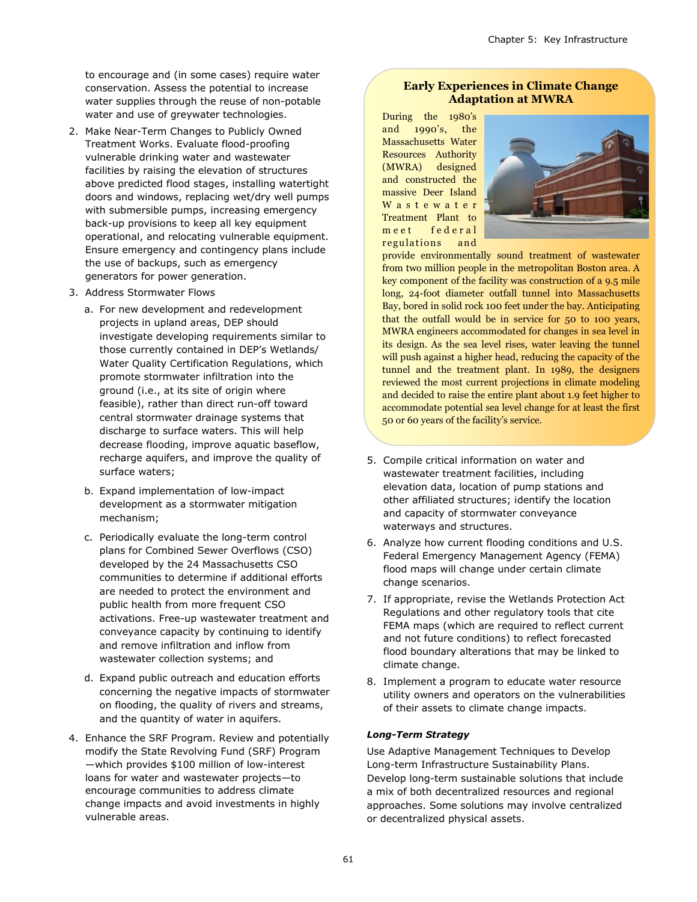to encourage and (in some cases) require water conservation. Assess the potential to increase water supplies through the reuse of non-potable water and use of greywater technologies.

- 2. Make Near-Term Changes to Publicly Owned Treatment Works. Evaluate flood-proofing vulnerable drinking water and wastewater facilities by raising the elevation of structures above predicted flood stages, installing watertight doors and windows, replacing wet/dry well pumps with submersible pumps, increasing emergency back-up provisions to keep all key equipment operational, and relocating vulnerable equipment. Ensure emergency and contingency plans include the use of backups, such as emergency generators for power generation.
- 3. Address Stormwater Flows
	- a. For new development and redevelopment projects in upland areas, DEP should investigate developing requirements similar to those currently contained in DEP's Wetlands/ Water Quality Certification Regulations, which promote stormwater infiltration into the ground (i.e., at its site of origin where feasible), rather than direct run-off toward central stormwater drainage systems that discharge to surface waters. This will help decrease flooding, improve aquatic baseflow, recharge aquifers, and improve the quality of surface waters;
	- b. Expand implementation of low-impact development as a stormwater mitigation mechanism;
	- c. Periodically evaluate the long-term control plans for Combined Sewer Overflows (CSO) developed by the 24 Massachusetts CSO communities to determine if additional efforts are needed to protect the environment and public health from more frequent CSO activations. Free-up wastewater treatment and conveyance capacity by continuing to identify and remove infiltration and inflow from wastewater collection systems; and
	- d. Expand public outreach and education efforts concerning the negative impacts of stormwater on flooding, the quality of rivers and streams, and the quantity of water in aquifers.
- 4. Enhance the SRF Program. Review and potentially modify the State Revolving Fund (SRF) Program —which provides \$100 million of low-interest loans for water and wastewater projects—to encourage communities to address climate change impacts and avoid investments in highly vulnerable areas.

## **Early Experiences in Climate Change Adaptation at MWRA**

During the 1980's and 1990's, the Massachusetts Water Resources Authority (MWRA) designed and constructed the massive Deer Island W a s t e w a t e r Treatment Plant to m e e t f e d e r a l regulations and



provide environmentally sound treatment of wastewater from two million people in the metropolitan Boston area. A key component of the facility was construction of a 9.5 mile long, 24-foot diameter outfall tunnel into Massachusetts Bay, bored in solid rock 100 feet under the bay. Anticipating that the outfall would be in service for 50 to 100 years, MWRA engineers accommodated for changes in sea level in its design. As the sea level rises, water leaving the tunnel will push against a higher head, reducing the capacity of the tunnel and the treatment plant. In 1989, the designers reviewed the most current projections in climate modeling and decided to raise the entire plant about 1.9 feet higher to accommodate potential sea level change for at least the first 50 or 60 years of the facility's service.

- 5. Compile critical information on water and wastewater treatment facilities, including elevation data, location of pump stations and other affiliated structures; identify the location and capacity of stormwater conveyance waterways and structures.
- 6. Analyze how current flooding conditions and U.S. Federal Emergency Management Agency (FEMA) flood maps will change under certain climate change scenarios.
- 7. If appropriate, revise the Wetlands Protection Act Regulations and other regulatory tools that cite FEMA maps (which are required to reflect current and not future conditions) to reflect forecasted flood boundary alterations that may be linked to climate change.
- 8. Implement a program to educate water resource utility owners and operators on the vulnerabilities of their assets to climate change impacts.

#### *Long-Term Strategy*

Use Adaptive Management Techniques to Develop Long-term Infrastructure Sustainability Plans. Develop long-term sustainable solutions that include a mix of both decentralized resources and regional approaches. Some solutions may involve centralized or decentralized physical assets.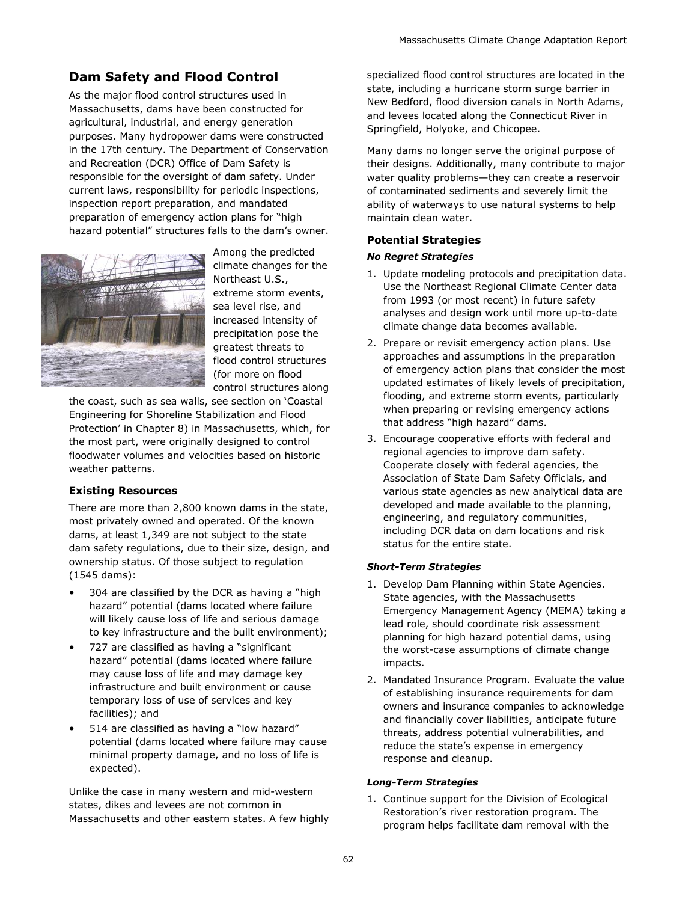# **Dam Safety and Flood Control**

As the major flood control structures used in Massachusetts, dams have been constructed for agricultural, industrial, and energy generation purposes. Many hydropower dams were constructed in the 17th century. The Department of Conservation and Recreation (DCR) Office of Dam Safety is responsible for the oversight of dam safety. Under current laws, responsibility for periodic inspections, inspection report preparation, and mandated preparation of emergency action plans for "high hazard potential" structures falls to the dam's owner.



Among the predicted climate changes for the Northeast U.S., extreme storm events, sea level rise, and increased intensity of precipitation pose the greatest threats to flood control structures (for more on flood control structures along

the coast, such as sea walls, see section on 'Coastal Engineering for Shoreline Stabilization and Flood Protection' in Chapter 8) in Massachusetts, which, for the most part, were originally designed to control floodwater volumes and velocities based on historic weather patterns.

# **Existing Resources**

There are more than 2,800 known dams in the state, most privately owned and operated. Of the known dams, at least 1,349 are not subject to the state dam safety regulations, due to their size, design, and ownership status. Of those subject to regulation (1545 dams):

- 304 are classified by the DCR as having a "high hazard" potential (dams located where failure will likely cause loss of life and serious damage to key infrastructure and the built environment);
- 727 are classified as having a "significant" hazard" potential (dams located where failure may cause loss of life and may damage key infrastructure and built environment or cause temporary loss of use of services and key facilities); and
- 514 are classified as having a "low hazard" potential (dams located where failure may cause minimal property damage, and no loss of life is expected).

Unlike the case in many western and mid-western states, dikes and levees are not common in Massachusetts and other eastern states. A few highly specialized flood control structures are located in the state, including a hurricane storm surge barrier in New Bedford, flood diversion canals in North Adams, and levees located along the Connecticut River in Springfield, Holyoke, and Chicopee.

Many dams no longer serve the original purpose of their designs. Additionally, many contribute to major water quality problems—they can create a reservoir of contaminated sediments and severely limit the ability of waterways to use natural systems to help maintain clean water.

# **Potential Strategies**

#### *No Regret Strategies*

- 1. Update modeling protocols and precipitation data. Use the Northeast Regional Climate Center data from 1993 (or most recent) in future safety analyses and design work until more up-to-date climate change data becomes available.
- 2. Prepare or revisit emergency action plans. Use approaches and assumptions in the preparation of emergency action plans that consider the most updated estimates of likely levels of precipitation, flooding, and extreme storm events, particularly when preparing or revising emergency actions that address "high hazard" dams.
- 3. Encourage cooperative efforts with federal and regional agencies to improve dam safety. Cooperate closely with federal agencies, the Association of State Dam Safety Officials, and various state agencies as new analytical data are developed and made available to the planning, engineering, and regulatory communities, including DCR data on dam locations and risk status for the entire state.

#### *Short-Term Strategies*

- 1. Develop Dam Planning within State Agencies. State agencies, with the Massachusetts Emergency Management Agency (MEMA) taking a lead role, should coordinate risk assessment planning for high hazard potential dams, using the worst-case assumptions of climate change impacts.
- 2. Mandated Insurance Program. Evaluate the value of establishing insurance requirements for dam owners and insurance companies to acknowledge and financially cover liabilities, anticipate future threats, address potential vulnerabilities, and reduce the state's expense in emergency response and cleanup.

# *Long-Term Strategies*

1. Continue support for the Division of Ecological Restoration's river restoration program. The program helps facilitate dam removal with the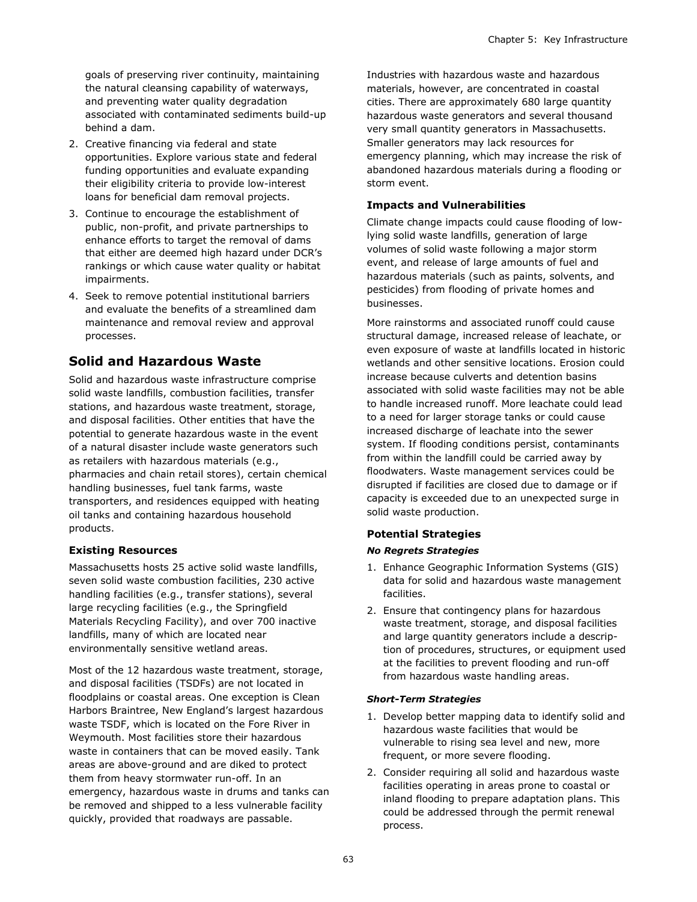goals of preserving river continuity, maintaining the natural cleansing capability of waterways, and preventing water quality degradation associated with contaminated sediments build-up behind a dam.

- 2. Creative financing via federal and state opportunities. Explore various state and federal funding opportunities and evaluate expanding their eligibility criteria to provide low-interest loans for beneficial dam removal projects.
- 3. Continue to encourage the establishment of public, non-profit, and private partnerships to enhance efforts to target the removal of dams that either are deemed high hazard under DCR's rankings or which cause water quality or habitat impairments.
- 4. Seek to remove potential institutional barriers and evaluate the benefits of a streamlined dam maintenance and removal review and approval processes.

# **Solid and Hazardous Waste**

Solid and hazardous waste infrastructure comprise solid waste landfills, combustion facilities, transfer stations, and hazardous waste treatment, storage, and disposal facilities. Other entities that have the potential to generate hazardous waste in the event of a natural disaster include waste generators such as retailers with hazardous materials (e.g., pharmacies and chain retail stores), certain chemical handling businesses, fuel tank farms, waste transporters, and residences equipped with heating oil tanks and containing hazardous household products.

#### **Existing Resources**

Massachusetts hosts 25 active solid waste landfills, seven solid waste combustion facilities, 230 active handling facilities (e.g., transfer stations), several large recycling facilities (e.g., the Springfield Materials Recycling Facility), and over 700 inactive landfills, many of which are located near environmentally sensitive wetland areas.

Most of the 12 hazardous waste treatment, storage, and disposal facilities (TSDFs) are not located in floodplains or coastal areas. One exception is Clean Harbors Braintree, New England's largest hazardous waste TSDF, which is located on the Fore River in Weymouth. Most facilities store their hazardous waste in containers that can be moved easily. Tank areas are above-ground and are diked to protect them from heavy stormwater run-off. In an emergency, hazardous waste in drums and tanks can be removed and shipped to a less vulnerable facility quickly, provided that roadways are passable.

Industries with hazardous waste and hazardous materials, however, are concentrated in coastal cities. There are approximately 680 large quantity hazardous waste generators and several thousand very small quantity generators in Massachusetts. Smaller generators may lack resources for emergency planning, which may increase the risk of abandoned hazardous materials during a flooding or storm event.

## **Impacts and Vulnerabilities**

Climate change impacts could cause flooding of lowlying solid waste landfills, generation of large volumes of solid waste following a major storm event, and release of large amounts of fuel and hazardous materials (such as paints, solvents, and pesticides) from flooding of private homes and businesses.

More rainstorms and associated runoff could cause structural damage, increased release of leachate, or even exposure of waste at landfills located in historic wetlands and other sensitive locations. Erosion could increase because culverts and detention basins associated with solid waste facilities may not be able to handle increased runoff. More leachate could lead to a need for larger storage tanks or could cause increased discharge of leachate into the sewer system. If flooding conditions persist, contaminants from within the landfill could be carried away by floodwaters. Waste management services could be disrupted if facilities are closed due to damage or if capacity is exceeded due to an unexpected surge in solid waste production.

# **Potential Strategies**

#### *No Regrets Strategies*

- 1. Enhance Geographic Information Systems (GIS) data for solid and hazardous waste management facilities.
- 2. Ensure that contingency plans for hazardous waste treatment, storage, and disposal facilities and large quantity generators include a description of procedures, structures, or equipment used at the facilities to prevent flooding and run-off from hazardous waste handling areas.

#### *Short-Term Strategies*

- 1. Develop better mapping data to identify solid and hazardous waste facilities that would be vulnerable to rising sea level and new, more frequent, or more severe flooding.
- 2. Consider requiring all solid and hazardous waste facilities operating in areas prone to coastal or inland flooding to prepare adaptation plans. This could be addressed through the permit renewal process.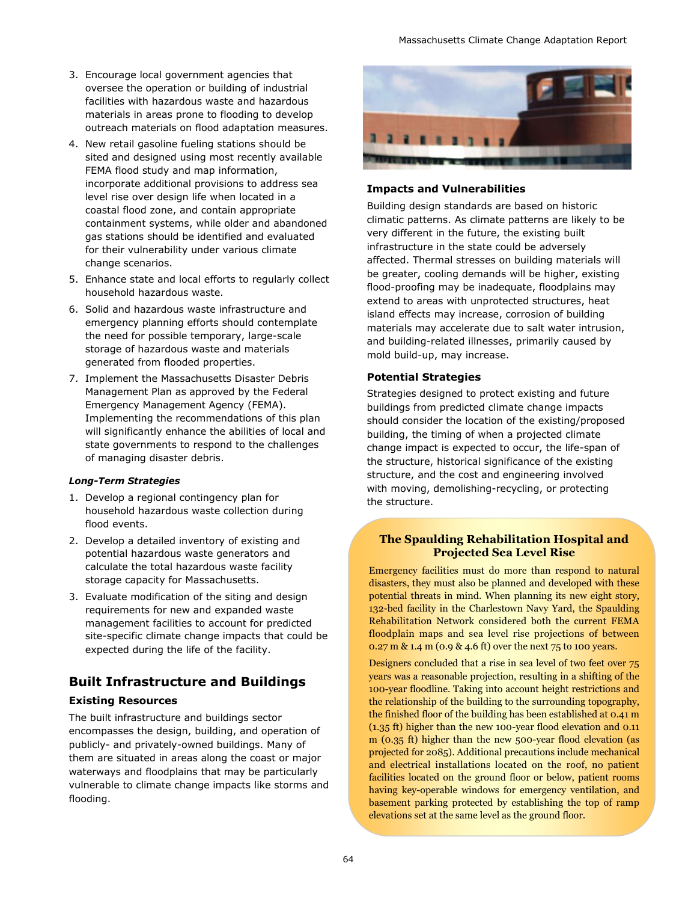- 3. Encourage local government agencies that oversee the operation or building of industrial facilities with hazardous waste and hazardous materials in areas prone to flooding to develop outreach materials on flood adaptation measures.
- 4. New retail gasoline fueling stations should be sited and designed using most recently available FEMA flood study and map information, incorporate additional provisions to address sea level rise over design life when located in a coastal flood zone, and contain appropriate containment systems, while older and abandoned gas stations should be identified and evaluated for their vulnerability under various climate change scenarios.
- 5. Enhance state and local efforts to regularly collect household hazardous waste.
- 6. Solid and hazardous waste infrastructure and emergency planning efforts should contemplate the need for possible temporary, large-scale storage of hazardous waste and materials generated from flooded properties.
- 7. Implement the Massachusetts Disaster Debris Management Plan as approved by the Federal Emergency Management Agency (FEMA). Implementing the recommendations of this plan will significantly enhance the abilities of local and state governments to respond to the challenges of managing disaster debris.

#### *Long-Term Strategies*

- 1. Develop a regional contingency plan for household hazardous waste collection during flood events.
- 2. Develop a detailed inventory of existing and potential hazardous waste generators and calculate the total hazardous waste facility storage capacity for Massachusetts.
- 3. Evaluate modification of the siting and design requirements for new and expanded waste management facilities to account for predicted site-specific climate change impacts that could be expected during the life of the facility.

# **Built Infrastructure and Buildings**

#### **Existing Resources**

The built infrastructure and buildings sector encompasses the design, building, and operation of publicly- and privately-owned buildings. Many of them are situated in areas along the coast or major waterways and floodplains that may be particularly vulnerable to climate change impacts like storms and flooding.



#### **Impacts and Vulnerabilities**

Building design standards are based on historic climatic patterns. As climate patterns are likely to be very different in the future, the existing built infrastructure in the state could be adversely affected. Thermal stresses on building materials will be greater, cooling demands will be higher, existing flood-proofing may be inadequate, floodplains may extend to areas with unprotected structures, heat island effects may increase, corrosion of building materials may accelerate due to salt water intrusion, and building-related illnesses, primarily caused by mold build-up, may increase.

#### **Potential Strategies**

Strategies designed to protect existing and future buildings from predicted climate change impacts should consider the location of the existing/proposed building, the timing of when a projected climate change impact is expected to occur, the life-span of the structure, historical significance of the existing structure, and the cost and engineering involved with moving, demolishing-recycling, or protecting the structure.

#### **The Spaulding Rehabilitation Hospital and Projected Sea Level Rise**

Emergency facilities must do more than respond to natural disasters, they must also be planned and developed with these potential threats in mind. When planning its new eight story, 132-bed facility in the Charlestown Navy Yard, the Spaulding Rehabilitation Network considered both the current FEMA floodplain maps and sea level rise projections of between 0.27 m & 1.4 m (0.9 & 4.6 ft) over the next 75 to 100 years.

Designers concluded that a rise in sea level of two feet over 75 years was a reasonable projection, resulting in a shifting of the 100-year floodline. Taking into account height restrictions and the relationship of the building to the surrounding topography, the finished floor of the building has been established at 0.41 m (1.35 ft) higher than the new 100-year flood elevation and 0.11 m (0.35 ft) higher than the new 500-year flood elevation (as projected for 2085). Additional precautions include mechanical and electrical installations located on the roof, no patient facilities located on the ground floor or below, patient rooms having key-operable windows for emergency ventilation, and basement parking protected by establishing the top of ramp elevations set at the same level as the ground floor.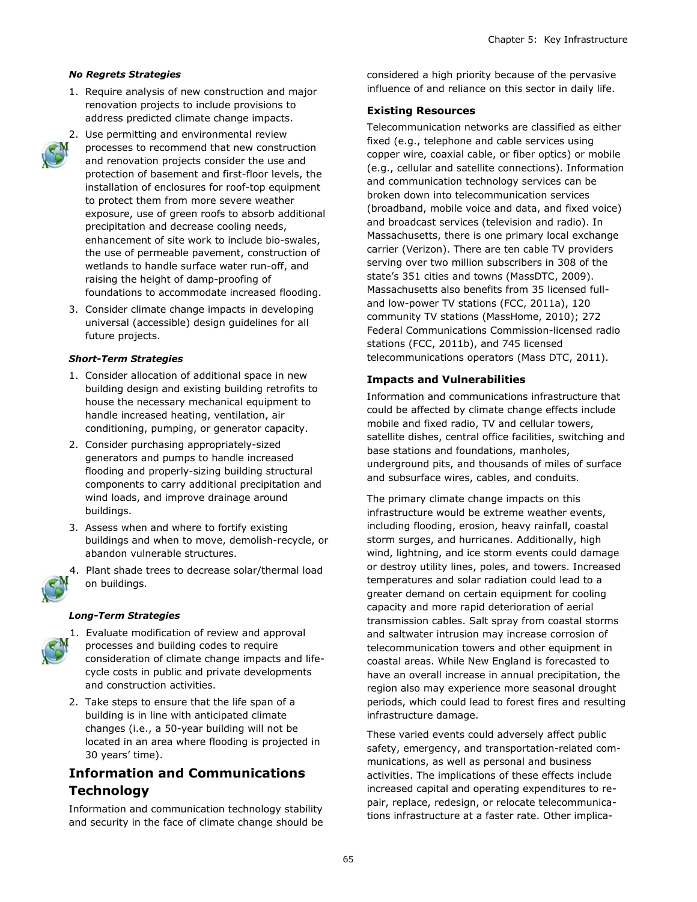#### *No Regrets Strategies*

- 1. Require analysis of new construction and major renovation projects to include provisions to address predicted climate change impacts.
- 2. Use permitting and environmental review processes to recommend that new construction and renovation projects consider the use and protection of basement and first-floor levels, the installation of enclosures for roof-top equipment to protect them from more severe weather exposure, use of green roofs to absorb additional precipitation and decrease cooling needs, enhancement of site work to include bio-swales, the use of permeable pavement, construction of wetlands to handle surface water run-off, and raising the height of damp-proofing of foundations to accommodate increased flooding.
- 3. Consider climate change impacts in developing universal (accessible) design guidelines for all future projects.

#### *Short-Term Strategies*

- 1. Consider allocation of additional space in new building design and existing building retrofits to house the necessary mechanical equipment to handle increased heating, ventilation, air conditioning, pumping, or generator capacity.
- 2. Consider purchasing appropriately-sized generators and pumps to handle increased flooding and properly-sizing building structural components to carry additional precipitation and wind loads, and improve drainage around buildings.
- 3. Assess when and where to fortify existing buildings and when to move, demolish-recycle, or abandon vulnerable structures.
- 4. Plant shade trees to decrease solar/thermal load on buildings.

#### *Long-Term Strategies*



- 1. Evaluate modification of review and approval processes and building codes to require consideration of climate change impacts and lifecycle costs in public and private developments and construction activities.
- 2. Take steps to ensure that the life span of a building is in line with anticipated climate changes (i.e., a 50-year building will not be located in an area where flooding is projected in 30 years' time).

# **Information and Communications Technology**

Information and communication technology stability and security in the face of climate change should be considered a high priority because of the pervasive influence of and reliance on this sector in daily life.

#### **Existing Resources**

Telecommunication networks are classified as either fixed (e.g., telephone and cable services using copper wire, coaxial cable, or fiber optics) or mobile (e.g., cellular and satellite connections). Information and communication technology services can be broken down into telecommunication services (broadband, mobile voice and data, and fixed voice) and broadcast services (television and radio). In Massachusetts, there is one primary local exchange carrier (Verizon). There are ten cable TV providers serving over two million subscribers in 308 of the state's 351 cities and towns (MassDTC, 2009). Massachusetts also benefits from 35 licensed fulland low-power TV stations (FCC, 2011a), 120 community TV stations (MassHome, 2010); 272 Federal Communications Commission-licensed radio stations (FCC, 2011b), and 745 licensed telecommunications operators (Mass DTC, 2011).

#### **Impacts and Vulnerabilities**

Information and communications infrastructure that could be affected by climate change effects include mobile and fixed radio, TV and cellular towers, satellite dishes, central office facilities, switching and base stations and foundations, manholes, underground pits, and thousands of miles of surface and subsurface wires, cables, and conduits.

The primary climate change impacts on this infrastructure would be extreme weather events, including flooding, erosion, heavy rainfall, coastal storm surges, and hurricanes. Additionally, high wind, lightning, and ice storm events could damage or destroy utility lines, poles, and towers. Increased temperatures and solar radiation could lead to a greater demand on certain equipment for cooling capacity and more rapid deterioration of aerial transmission cables. Salt spray from coastal storms and saltwater intrusion may increase corrosion of telecommunication towers and other equipment in coastal areas. While New England is forecasted to have an overall increase in annual precipitation, the region also may experience more seasonal drought periods, which could lead to forest fires and resulting infrastructure damage.

These varied events could adversely affect public safety, emergency, and transportation-related communications, as well as personal and business activities. The implications of these effects include increased capital and operating expenditures to repair, replace, redesign, or relocate telecommunications infrastructure at a faster rate. Other implica-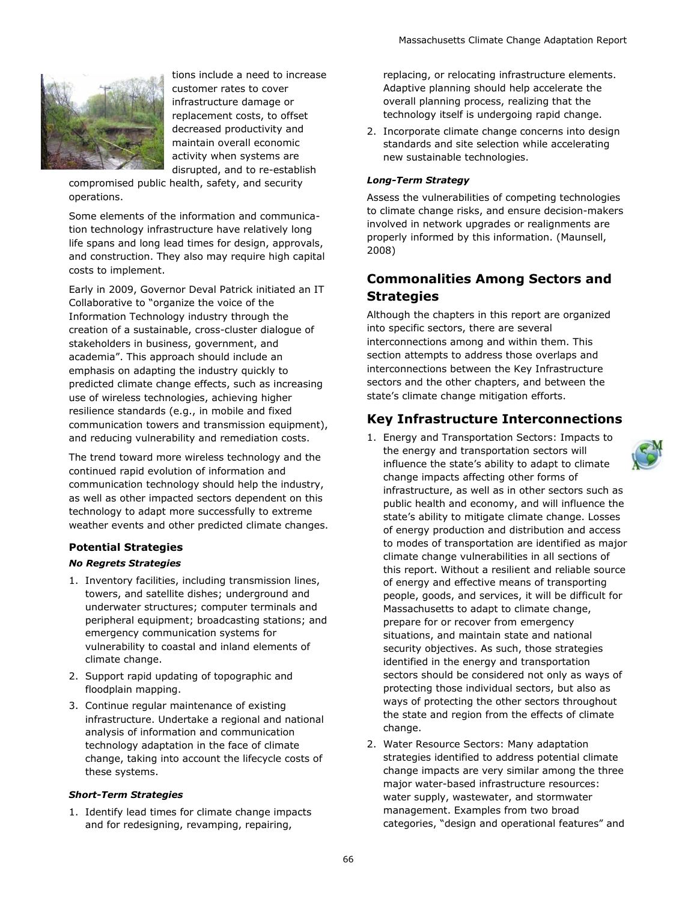

tions include a need to increase customer rates to cover infrastructure damage or replacement costs, to offset decreased productivity and maintain overall economic activity when systems are disrupted, and to re-establish

compromised public health, safety, and security operations.

Some elements of the information and communication technology infrastructure have relatively long life spans and long lead times for design, approvals, and construction. They also may require high capital costs to implement.

Early in 2009, Governor Deval Patrick initiated an IT Collaborative to "organize the voice of the Information Technology industry through the creation of a sustainable, cross-cluster dialogue of stakeholders in business, government, and academia". This approach should include an emphasis on adapting the industry quickly to predicted climate change effects, such as increasing use of wireless technologies, achieving higher resilience standards (e.g., in mobile and fixed communication towers and transmission equipment), and reducing vulnerability and remediation costs.

The trend toward more wireless technology and the continued rapid evolution of information and communication technology should help the industry, as well as other impacted sectors dependent on this technology to adapt more successfully to extreme weather events and other predicted climate changes.

#### **Potential Strategies**

#### *No Regrets Strategies*

- 1. Inventory facilities, including transmission lines, towers, and satellite dishes; underground and underwater structures; computer terminals and peripheral equipment; broadcasting stations; and emergency communication systems for vulnerability to coastal and inland elements of climate change.
- 2. Support rapid updating of topographic and floodplain mapping.
- 3. Continue regular maintenance of existing infrastructure. Undertake a regional and national analysis of information and communication technology adaptation in the face of climate change, taking into account the lifecycle costs of these systems.

#### *Short-Term Strategies*

1. Identify lead times for climate change impacts and for redesigning, revamping, repairing,

replacing, or relocating infrastructure elements. Adaptive planning should help accelerate the overall planning process, realizing that the technology itself is undergoing rapid change.

2. Incorporate climate change concerns into design standards and site selection while accelerating new sustainable technologies.

## *Long-Term Strategy*

Assess the vulnerabilities of competing technologies to climate change risks, and ensure decision-makers involved in network upgrades or realignments are properly informed by this information. (Maunsell, 2008)

# **Commonalities Among Sectors and Strategies**

Although the chapters in this report are organized into specific sectors, there are several interconnections among and within them. This section attempts to address those overlaps and interconnections between the Key Infrastructure sectors and the other chapters, and between the state's climate change mitigation efforts.

# **Key Infrastructure Interconnections**

- 1. Energy and Transportation Sectors: Impacts to the energy and transportation sectors will influence the state's ability to adapt to climate change impacts affecting other forms of infrastructure, as well as in other sectors such as public health and economy, and will influence the state's ability to mitigate climate change. Losses of energy production and distribution and access to modes of transportation are identified as major climate change vulnerabilities in all sections of this report. Without a resilient and reliable source of energy and effective means of transporting people, goods, and services, it will be difficult for Massachusetts to adapt to climate change, prepare for or recover from emergency situations, and maintain state and national security objectives. As such, those strategies identified in the energy and transportation sectors should be considered not only as ways of protecting those individual sectors, but also as ways of protecting the other sectors throughout the state and region from the effects of climate change.
- 2. Water Resource Sectors: Many adaptation strategies identified to address potential climate change impacts are very similar among the three major water-based infrastructure resources: water supply, wastewater, and stormwater management. Examples from two broad categories, "design and operational features" and

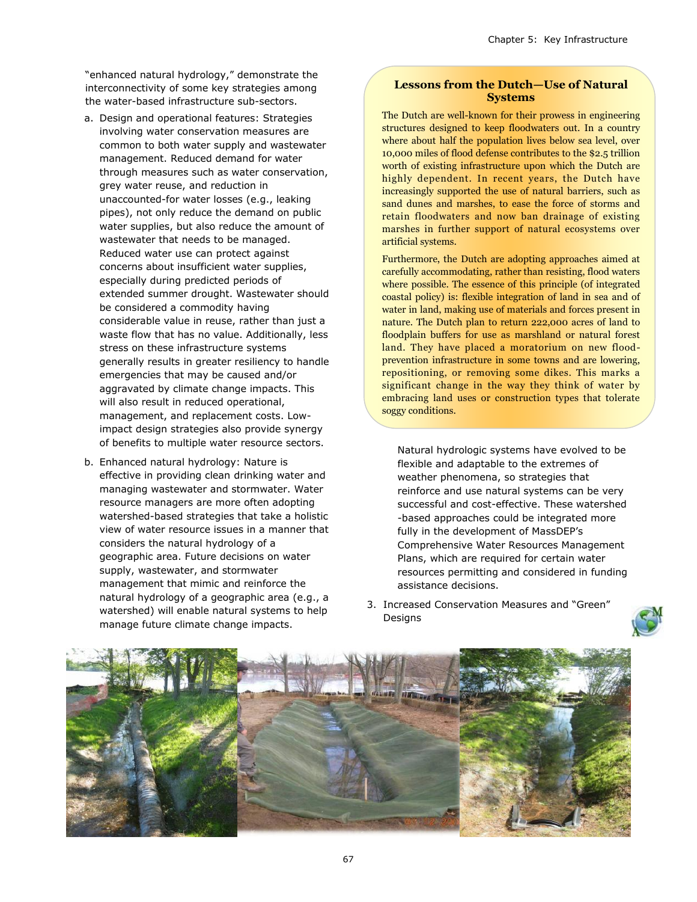"enhanced natural hydrology," demonstrate the interconnectivity of some key strategies among the water-based infrastructure sub-sectors.

- a. Design and operational features: Strategies involving water conservation measures are common to both water supply and wastewater management. Reduced demand for water through measures such as water conservation, grey water reuse, and reduction in unaccounted-for water losses (e.g., leaking pipes), not only reduce the demand on public water supplies, but also reduce the amount of wastewater that needs to be managed. Reduced water use can protect against concerns about insufficient water supplies, especially during predicted periods of extended summer drought. Wastewater should be considered a commodity having considerable value in reuse, rather than just a waste flow that has no value. Additionally, less stress on these infrastructure systems generally results in greater resiliency to handle emergencies that may be caused and/or aggravated by climate change impacts. This will also result in reduced operational, management, and replacement costs. Lowimpact design strategies also provide synergy of benefits to multiple water resource sectors.
- b. Enhanced natural hydrology: Nature is effective in providing clean drinking water and managing wastewater and stormwater. Water resource managers are more often adopting watershed-based strategies that take a holistic view of water resource issues in a manner that considers the natural hydrology of a geographic area. Future decisions on water supply, wastewater, and stormwater management that mimic and reinforce the natural hydrology of a geographic area (e.g., a watershed) will enable natural systems to help manage future climate change impacts.

#### **Lessons from the Dutch—Use of Natural Systems**

The Dutch are well-known for their prowess in engineering structures designed to keep floodwaters out. In a country where about half the population lives below sea level, over 10,000 miles of flood defense contributes to the \$2.5 trillion worth of existing infrastructure upon which the Dutch are highly dependent. In recent years, the Dutch have increasingly supported the use of natural barriers, such as sand dunes and marshes, to ease the force of storms and retain floodwaters and now ban drainage of existing marshes in further support of natural ecosystems over artificial systems.

Furthermore, the Dutch are adopting approaches aimed at carefully accommodating, rather than resisting, flood waters where possible. The essence of this principle (of integrated coastal policy) is: flexible integration of land in sea and of water in land, making use of materials and forces present in nature. The Dutch plan to return 222,000 acres of land to floodplain buffers for use as marshland or natural forest land. They have placed a moratorium on new floodprevention infrastructure in some towns and are lowering, repositioning, or removing some dikes. This marks a significant change in the way they think of water by embracing land uses or construction types that tolerate soggy conditions.

Natural hydrologic systems have evolved to be flexible and adaptable to the extremes of weather phenomena, so strategies that reinforce and use natural systems can be very successful and cost-effective. These watershed -based approaches could be integrated more fully in the development of MassDEP's Comprehensive Water Resources Management Plans, which are required for certain water resources permitting and considered in funding assistance decisions.

3. Increased Conservation Measures and "Green" Designs



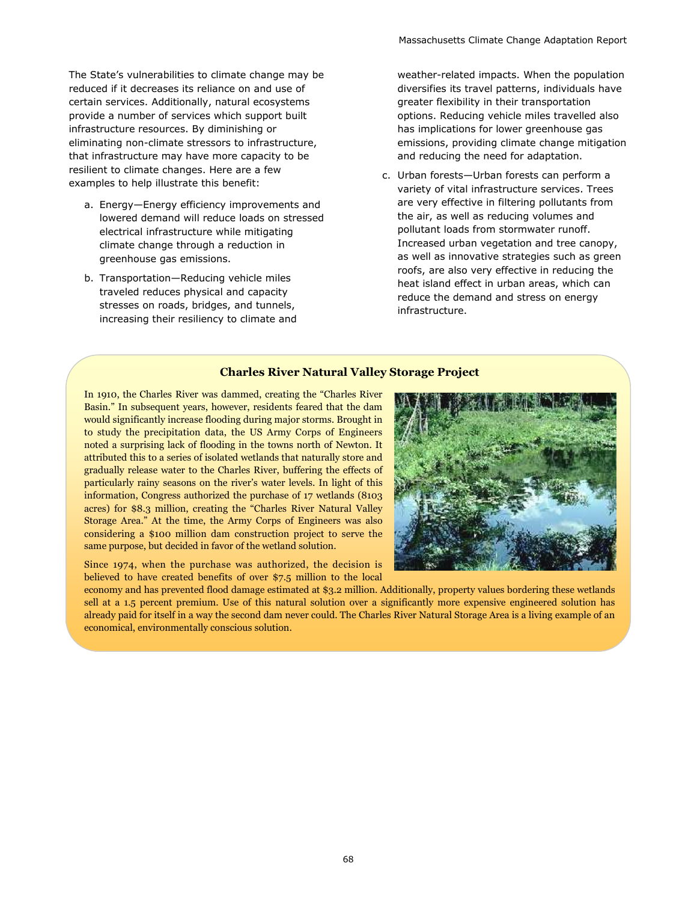The State's vulnerabilities to climate change may be reduced if it decreases its reliance on and use of certain services. Additionally, natural ecosystems provide a number of services which support built infrastructure resources. By diminishing or eliminating non-climate stressors to infrastructure, that infrastructure may have more capacity to be resilient to climate changes. Here are a few examples to help illustrate this benefit:

- a. Energy—Energy efficiency improvements and lowered demand will reduce loads on stressed electrical infrastructure while mitigating climate change through a reduction in greenhouse gas emissions.
- b. Transportation—Reducing vehicle miles traveled reduces physical and capacity stresses on roads, bridges, and tunnels, increasing their resiliency to climate and

weather-related impacts. When the population diversifies its travel patterns, individuals have greater flexibility in their transportation options. Reducing vehicle miles travelled also has implications for lower greenhouse gas emissions, providing climate change mitigation and reducing the need for adaptation.

c. Urban forests—Urban forests can perform a variety of vital infrastructure services. Trees are very effective in filtering pollutants from the air, as well as reducing volumes and pollutant loads from stormwater runoff. Increased urban vegetation and tree canopy, as well as innovative strategies such as green roofs, are also very effective in reducing the heat island effect in urban areas, which can reduce the demand and stress on energy infrastructure.

## **Charles River Natural Valley Storage Project**

In 1910, the Charles River was dammed, creating the "Charles River Basin." In subsequent years, however, residents feared that the dam would significantly increase flooding during major storms. Brought in to study the precipitation data, the US Army Corps of Engineers noted a surprising lack of flooding in the towns north of Newton. It attributed this to a series of isolated wetlands that naturally store and gradually release water to the Charles River, buffering the effects of particularly rainy seasons on the river's water levels. In light of this information, Congress authorized the purchase of 17 wetlands (8103 acres) for \$8.3 million, creating the "Charles River Natural Valley Storage Area." At the time, the Army Corps of Engineers was also considering a \$100 million dam construction project to serve the same purpose, but decided in favor of the wetland solution.

Since 1974, when the purchase was authorized, the decision is believed to have created benefits of over \$7.5 million to the local



economy and has prevented flood damage estimated at \$3.2 million. Additionally, property values bordering these wetlands sell at a 1.5 percent premium. Use of this natural solution over a significantly more expensive engineered solution has already paid for itself in a way the second dam never could. The Charles River Natural Storage Area is a living example of an economical, environmentally conscious solution.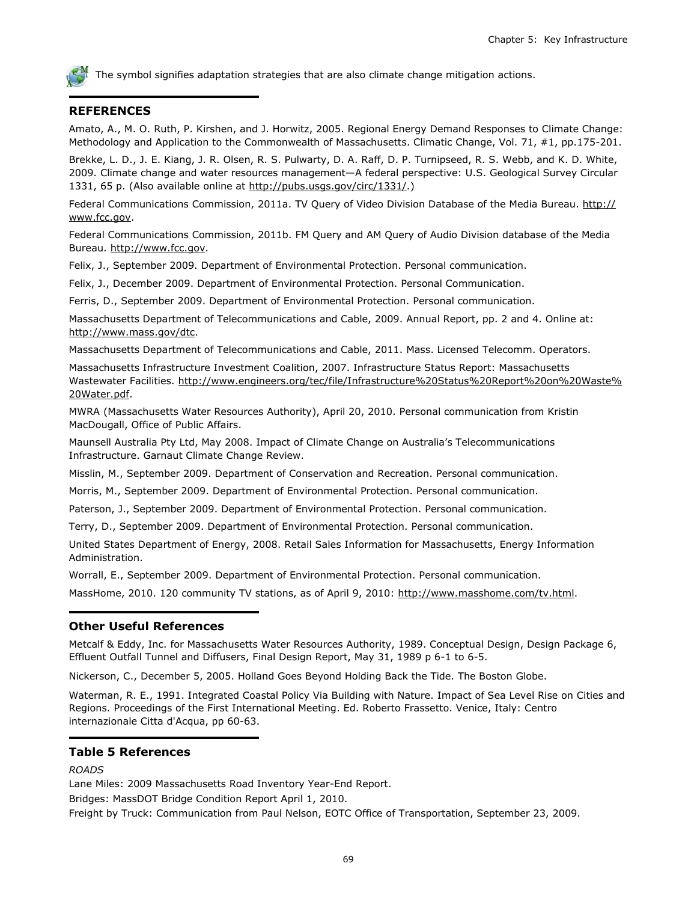

The symbol signifies adaptation strategies that are also climate change mitigation actions.

## **REFERENCES**

Amato, A., M. O. Ruth, P. Kirshen, and J. Horwitz, 2005. Regional Energy Demand Responses to Climate Change: Methodology and Application to the Commonwealth of Massachusetts. Climatic Change, Vol. 71, #1, pp.175-201.

Brekke, L. D., J. E. Kiang, J. R. Olsen, R. S. Pulwarty, D. A. Raff, D. P. Turnipseed, R. S. Webb, and K. D. White, 2009. Climate change and water resources management—A federal perspective: U.S. Geological Survey Circular 1331, 65 p. (Also available online at [http://pubs.usgs.gov/circ/1331/.](http://pubs.usgs.gov/circ/1331/))

Federal Communications Commission, 2011a. TV Query of Video Division Database of the Media Bureau. [http://](http://www.fcc.gov) [www.fcc.gov.](http://www.fcc.gov)

Federal Communications Commission, 2011b. FM Query and AM Query of Audio Division database of the Media Bureau. [http://www.fcc.gov.](http://www.fcc.gov)

Felix, J., September 2009. Department of Environmental Protection. Personal communication.

Felix, J., December 2009. Department of Environmental Protection. Personal Communication.

Ferris, D., September 2009. Department of Environmental Protection. Personal communication.

Massachusetts Department of Telecommunications and Cable, 2009. Annual Report, pp. 2 and 4. Online at: [http://www.mass.gov/dtc.](http://www.mass.gov/dtc)

Massachusetts Department of Telecommunications and Cable, 2011. Mass. Licensed Telecomm. Operators.

Massachusetts Infrastructure Investment Coalition, 2007. Infrastructure Status Report: Massachusetts Wastewater Facilities. [http://www.engineers.org/tec/file/Infrastructure%20Status%20Report%20on%20Waste%](http://www.engineers.org/tec/file/Infrastructure%20Status%20Report%20on%20Waste%20Water.pdf) [20Water.pdf.](http://www.engineers.org/tec/file/Infrastructure%20Status%20Report%20on%20Waste%20Water.pdf)

MWRA (Massachusetts Water Resources Authority), April 20, 2010. Personal communication from Kristin MacDougall, Office of Public Affairs.

Maunsell Australia Pty Ltd, May 2008. Impact of Climate Change on Australia's Telecommunications Infrastructure. Garnaut Climate Change Review.

Misslin, M., September 2009. Department of Conservation and Recreation. Personal communication.

Morris, M., September 2009. Department of Environmental Protection. Personal communication.

Paterson, J., September 2009. Department of Environmental Protection. Personal communication.

Terry, D., September 2009. Department of Environmental Protection. Personal communication.

United States Department of Energy, 2008. Retail Sales Information for Massachusetts, Energy Information Administration.

Worrall, E., September 2009. Department of Environmental Protection. Personal communication.

MassHome, 2010. 120 community TV stations, as of April 9, 2010: http://www.masshome.com/tv.html.

#### **Other Useful References**

Metcalf & Eddy, Inc. for Massachusetts Water Resources Authority, 1989. Conceptual Design, Design Package 6, Effluent Outfall Tunnel and Diffusers, Final Design Report, May 31, 1989 p 6-1 to 6-5.

Nickerson, C., December 5, 2005. Holland Goes Beyond Holding Back the Tide. The Boston Globe.

Waterman, R. E., 1991. Integrated Coastal Policy Via Building with Nature. Impact of Sea Level Rise on Cities and Regions. Proceedings of the First International Meeting. Ed. Roberto Frassetto. Venice, Italy: Centro internazionale Citta d'Acqua, pp 60-63.

## **Table 5 References**

*ROADS*

Lane Miles: 2009 Massachusetts Road Inventory Year-End Report.

Bridges: MassDOT Bridge Condition Report April 1, 2010.

Freight by Truck: Communication from Paul Nelson, EOTC Office of Transportation, September 23, 2009.